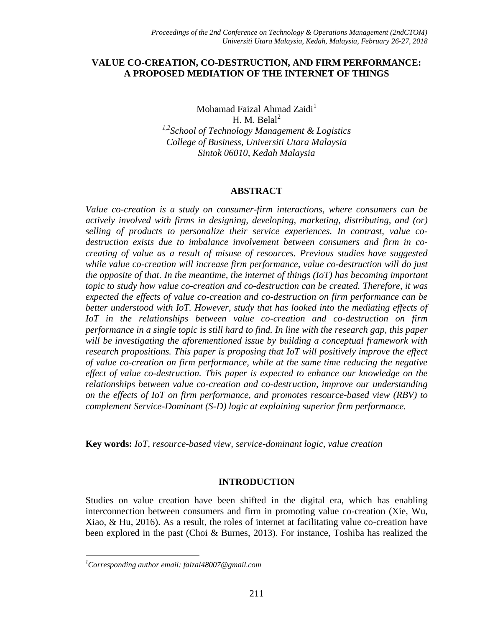### **VALUE CO-CREATION, CO-DESTRUCTION, AND FIRM PERFORMANCE: A PROPOSED MEDIATION OF THE INTERNET OF THINGS**

Mohamad Faizal Ahmad Zaidi<sup>1</sup> H. M. Bela $l^2$ *1,2 School of Technology Management & Logistics College of Business, Universiti Utara Malaysia Sintok 06010, Kedah Malaysia*

#### **ABSTRACT**

*Value co-creation is a study on consumer-firm interactions, where consumers can be actively involved with firms in designing, developing, marketing, distributing, and (or) selling of products to personalize their service experiences. In contrast, value codestruction exists due to imbalance involvement between consumers and firm in cocreating of value as a result of misuse of resources. Previous studies have suggested while value co-creation will increase firm performance, value co-destruction will do just the opposite of that. In the meantime, the internet of things (IoT) has becoming important topic to study how value co-creation and co-destruction can be created. Therefore, it was expected the effects of value co-creation and co-destruction on firm performance can be better understood with IoT. However, study that has looked into the mediating effects of IoT in the relationships between value co-creation and co-destruction on firm performance in a single topic is still hard to find. In line with the research gap, this paper will be investigating the aforementioned issue by building a conceptual framework with research propositions. This paper is proposing that IoT will positively improve the effect of value co-creation on firm performance, while at the same time reducing the negative effect of value co-destruction. This paper is expected to enhance our knowledge on the relationships between value co-creation and co-destruction, improve our understanding on the effects of IoT on firm performance, and promotes resource-based view (RBV) to complement Service-Dominant (S-D) logic at explaining superior firm performance.*

**Key words:** *IoT, resource-based view, service-dominant logic, value creation*

#### **INTRODUCTION**

Studies on value creation have been shifted in the digital era, which has enabling interconnection between consumers and firm in promoting value co-creation (Xie, Wu, Xiao, & Hu, 2016). As a result, the roles of internet at facilitating value co-creation have been explored in the past (Choi & Burnes, 2013). For instance, Toshiba has realized the

 $\overline{\phantom{a}}$ 

*<sup>1</sup>Corresponding author email: faizal48007@gmail.com*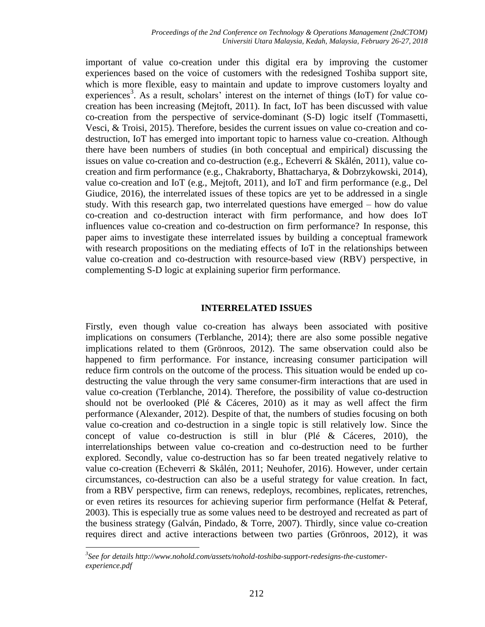important of value co-creation under this digital era by improving the customer experiences based on the voice of customers with the redesigned Toshiba support site, which is more flexible, easy to maintain and update to improve customers loyalty and experiences<sup>3</sup>. As a result, scholars' interest on the internet of things (IoT) for value cocreation has been increasing (Mejtoft, 2011). In fact, IoT has been discussed with value co-creation from the perspective of service-dominant (S-D) logic itself (Tommasetti, Vesci, & Troisi, 2015). Therefore, besides the current issues on value co-creation and codestruction, IoT has emerged into important topic to harness value co-creation. Although there have been numbers of studies (in both conceptual and empirical) discussing the issues on value co-creation and co-destruction (e.g., Echeverri & Skålén, 2011), value cocreation and firm performance (e.g., Chakraborty, Bhattacharya, & Dobrzykowski, 2014), value co-creation and IoT (e.g., Mejtoft, 2011), and IoT and firm performance (e.g., Del Giudice, 2016), the interrelated issues of these topics are yet to be addressed in a single study. With this research gap, two interrelated questions have emerged – how do value co-creation and co-destruction interact with firm performance, and how does IoT influences value co-creation and co-destruction on firm performance? In response, this paper aims to investigate these interrelated issues by building a conceptual framework with research propositions on the mediating effects of IoT in the relationships between value co-creation and co-destruction with resource-based view (RBV) perspective, in complementing S-D logic at explaining superior firm performance.

### **INTERRELATED ISSUES**

Firstly, even though value co-creation has always been associated with positive implications on consumers (Terblanche, 2014); there are also some possible negative implications related to them (Grönroos, 2012). The same observation could also be happened to firm performance. For instance, increasing consumer participation will reduce firm controls on the outcome of the process. This situation would be ended up codestructing the value through the very same consumer-firm interactions that are used in value co-creation (Terblanche, 2014). Therefore, the possibility of value co-destruction should not be overlooked (Plé & Cáceres, 2010) as it may as well affect the firm performance (Alexander, 2012). Despite of that, the numbers of studies focusing on both value co-creation and co-destruction in a single topic is still relatively low. Since the concept of value co-destruction is still in blur (Plé & Cáceres, 2010), the interrelationships between value co-creation and co-destruction need to be further explored. Secondly, value co-destruction has so far been treated negatively relative to value co-creation (Echeverri & Skålén, 2011; Neuhofer, 2016). However, under certain circumstances, co-destruction can also be a useful strategy for value creation. In fact, from a RBV perspective, firm can renews, redeploys, recombines, replicates, retrenches, or even retires its resources for achieving superior firm performance (Helfat & Peteraf, 2003). This is especially true as some values need to be destroyed and recreated as part of the business strategy (Galván, Pindado, & Torre, 2007). Thirdly, since value co-creation requires direct and active interactions between two parties (Grönroos, 2012), it was

 $\overline{\phantom{a}}$ *3 See for details http://www.nohold.com/assets/nohold-toshiba-support-redesigns-the-customerexperience.pdf*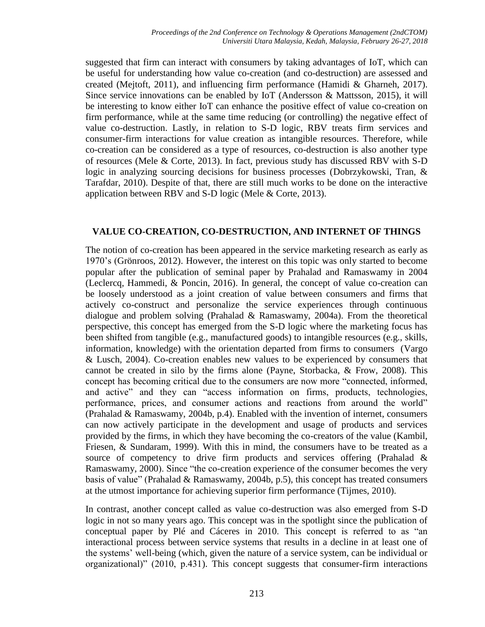suggested that firm can interact with consumers by taking advantages of IoT, which can be useful for understanding how value co-creation (and co-destruction) are assessed and created (Mejtoft, 2011), and influencing firm performance (Hamidi & Gharneh, 2017). Since service innovations can be enabled by IoT (Andersson & Mattsson, 2015), it will be interesting to know either IoT can enhance the positive effect of value co-creation on firm performance, while at the same time reducing (or controlling) the negative effect of value co-destruction. Lastly, in relation to S-D logic, RBV treats firm services and consumer-firm interactions for value creation as intangible resources. Therefore, while co-creation can be considered as a type of resources, co-destruction is also another type of resources (Mele & Corte, 2013). In fact, previous study has discussed RBV with S-D logic in analyzing sourcing decisions for business processes (Dobrzykowski, Tran, & Tarafdar, 2010). Despite of that, there are still much works to be done on the interactive application between RBV and S-D logic (Mele & Corte, 2013).

# **VALUE CO-CREATION, CO-DESTRUCTION, AND INTERNET OF THINGS**

The notion of co-creation has been appeared in the service marketing research as early as 1970's (Grönroos, 2012). However, the interest on this topic was only started to become popular after the publication of seminal paper by Prahalad and Ramaswamy in 2004 (Leclercq, Hammedi, & Poncin, 2016). In general, the concept of value co-creation can be loosely understood as a joint creation of value between consumers and firms that actively co-construct and personalize the service experiences through continuous dialogue and problem solving (Prahalad  $\&$  Ramaswamy, 2004a). From the theoretical perspective, this concept has emerged from the S-D logic where the marketing focus has been shifted from tangible (e.g., manufactured goods) to intangible resources (e.g., skills, information, knowledge) with the orientation departed from firms to consumers (Vargo & Lusch, 2004). Co-creation enables new values to be experienced by consumers that cannot be created in silo by the firms alone (Payne, Storbacka, & Frow, 2008). This concept has becoming critical due to the consumers are now more "connected, informed, and active" and they can "access information on firms, products, technologies, performance, prices, and consumer actions and reactions from around the world" (Prahalad & Ramaswamy, 2004b, p.4). Enabled with the invention of internet, consumers can now actively participate in the development and usage of products and services provided by the firms, in which they have becoming the co-creators of the value (Kambil, Friesen, & Sundaram, 1999). With this in mind, the consumers have to be treated as a source of competency to drive firm products and services offering (Prahalad & Ramaswamy, 2000). Since "the co-creation experience of the consumer becomes the very basis of value" (Prahalad & Ramaswamy, 2004b, p.5), this concept has treated consumers at the utmost importance for achieving superior firm performance (Tijmes, 2010).

In contrast, another concept called as value co-destruction was also emerged from S-D logic in not so many years ago. This concept was in the spotlight since the publication of conceptual paper by Plé and Cáceres in 2010. This concept is referred to as "an interactional process between service systems that results in a decline in at least one of the systems' well-being (which, given the nature of a service system, can be individual or organizational)" (2010, p.431). This concept suggests that consumer-firm interactions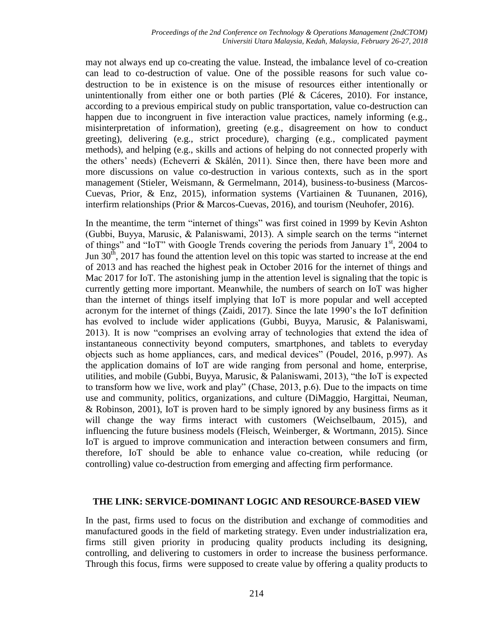may not always end up co-creating the value. Instead, the imbalance level of co-creation can lead to co-destruction of value. One of the possible reasons for such value codestruction to be in existence is on the misuse of resources either intentionally or unintentionally from either one or both parties (Plé & Cáceres, 2010). For instance, according to a previous empirical study on public transportation, value co-destruction can happen due to incongruent in five interaction value practices, namely informing (e.g., misinterpretation of information), greeting (e.g., disagreement on how to conduct greeting), delivering (e.g., strict procedure), charging (e.g., complicated payment methods), and helping (e.g., skills and actions of helping do not connected properly with the others' needs) (Echeverri & Skålén, 2011). Since then, there have been more and more discussions on value co-destruction in various contexts, such as in the sport management (Stieler, Weismann, & Germelmann, 2014), business-to-business (Marcos-Cuevas, Prior, & Enz, 2015), information systems (Vartiainen & Tuunanen, 2016), interfirm relationships (Prior & Marcos-Cuevas, 2016), and tourism (Neuhofer, 2016).

In the meantime, the term "internet of things" was first coined in 1999 by Kevin Ashton (Gubbi, Buyya, Marusic, & Palaniswami, 2013). A simple search on the terms "internet of things" and "IoT" with Google Trends covering the periods from January  $1<sup>st</sup>$ , 2004 to Jun  $30<sup>th</sup>$ , 2017 has found the attention level on this topic was started to increase at the end of 2013 and has reached the highest peak in October 2016 for the internet of things and Mac 2017 for IoT. The astonishing jump in the attention level is signaling that the topic is currently getting more important. Meanwhile, the numbers of search on IoT was higher than the internet of things itself implying that IoT is more popular and well accepted acronym for the internet of things (Zaidi, 2017). Since the late 1990's the IoT definition has evolved to include wider applications (Gubbi, Buyya, Marusic, & Palaniswami, 2013). It is now "comprises an evolving array of technologies that extend the idea of instantaneous connectivity beyond computers, smartphones, and tablets to everyday objects such as home appliances, cars, and medical devices" (Poudel, 2016, p.997). As the application domains of IoT are wide ranging from personal and home, enterprise, utilities, and mobile (Gubbi, Buyya, Marusic, & Palaniswami, 2013), "the IoT is expected to transform how we live, work and play" (Chase, 2013, p.6). Due to the impacts on time use and community, politics, organizations, and culture (DiMaggio, Hargittai, Neuman, & Robinson, 2001), IoT is proven hard to be simply ignored by any business firms as it will change the way firms interact with customers (Weichselbaum, 2015), and influencing the future business models (Fleisch, Weinberger, & Wortmann, 2015). Since IoT is argued to improve communication and interaction between consumers and firm, therefore, IoT should be able to enhance value co-creation, while reducing (or controlling) value co-destruction from emerging and affecting firm performance.

### **THE LINK: SERVICE-DOMINANT LOGIC AND RESOURCE-BASED VIEW**

In the past, firms used to focus on the distribution and exchange of commodities and manufactured goods in the field of marketing strategy. Even under industrialization era, firms still given priority in producing quality products including its designing, controlling, and delivering to customers in order to increase the business performance. Through this focus, firms were supposed to create value by offering a quality products to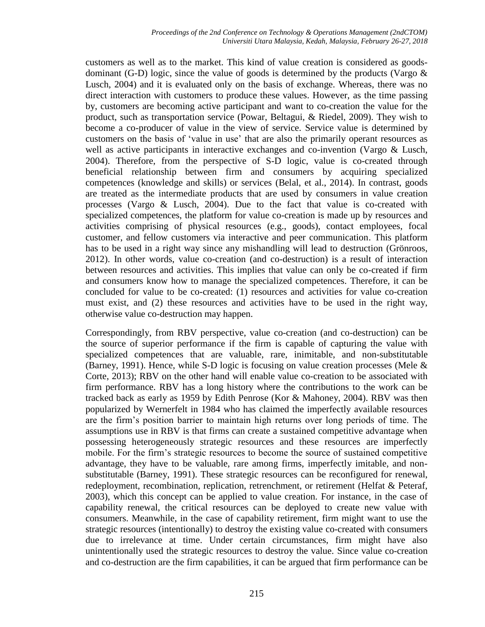customers as well as to the market. This kind of value creation is considered as goodsdominant (G-D) logic, since the value of goods is determined by the products (Vargo  $\&$ Lusch, 2004) and it is evaluated only on the basis of exchange. Whereas, there was no direct interaction with customers to produce these values. However, as the time passing by, customers are becoming active participant and want to co-creation the value for the product, such as transportation service (Powar, Beltagui, & Riedel, 2009). They wish to become a co-producer of value in the view of service. Service value is determined by customers on the basis of 'value in use' that are also the primarily operant resources as well as active participants in interactive exchanges and co-invention (Vargo & Lusch, 2004). Therefore, from the perspective of S-D logic, value is co-created through beneficial relationship between firm and consumers by acquiring specialized competences (knowledge and skills) or services (Belal, et al., 2014). In contrast, goods are treated as the intermediate products that are used by consumers in value creation processes (Vargo & Lusch, 2004). Due to the fact that value is co-created with specialized competences, the platform for value co-creation is made up by resources and activities comprising of physical resources (e.g., goods), contact employees, focal customer, and fellow customers via interactive and peer communication. This platform has to be used in a right way since any mishandling will lead to destruction (Grönroos, 2012). In other words, value co-creation (and co-destruction) is a result of interaction between resources and activities. This implies that value can only be co-created if firm and consumers know how to manage the specialized competences. Therefore, it can be concluded for value to be co-created: (1) resources and activities for value co-creation must exist, and (2) these resources and activities have to be used in the right way, otherwise value co-destruction may happen.

Correspondingly, from RBV perspective, value co-creation (and co-destruction) can be the source of superior performance if the firm is capable of capturing the value with specialized competences that are valuable, rare, inimitable, and non-substitutable (Barney, 1991). Hence, while S-D logic is focusing on value creation processes (Mele & Corte, 2013); RBV on the other hand will enable value co-creation to be associated with firm performance. RBV has a long history where the contributions to the work can be tracked back as early as 1959 by Edith Penrose (Kor & Mahoney, 2004). RBV was then popularized by Wernerfelt in 1984 who has claimed the imperfectly available resources are the firm's position barrier to maintain high returns over long periods of time. The assumptions use in RBV is that firms can create a sustained competitive advantage when possessing heterogeneously strategic resources and these resources are imperfectly mobile. For the firm's strategic resources to become the source of sustained competitive advantage, they have to be valuable, rare among firms, imperfectly imitable, and nonsubstitutable (Barney, 1991). These strategic resources can be reconfigured for renewal, redeployment, recombination, replication, retrenchment, or retirement (Helfat & Peteraf, 2003), which this concept can be applied to value creation. For instance, in the case of capability renewal, the critical resources can be deployed to create new value with consumers. Meanwhile, in the case of capability retirement, firm might want to use the strategic resources (intentionally) to destroy the existing value co-created with consumers due to irrelevance at time. Under certain circumstances, firm might have also unintentionally used the strategic resources to destroy the value. Since value co-creation and co-destruction are the firm capabilities, it can be argued that firm performance can be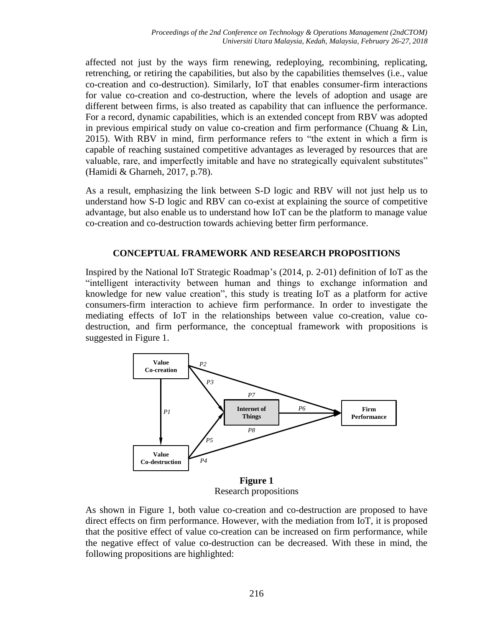affected not just by the ways firm renewing, redeploying, recombining, replicating, retrenching, or retiring the capabilities, but also by the capabilities themselves (i.e., value co-creation and co-destruction). Similarly, IoT that enables consumer-firm interactions for value co-creation and co-destruction, where the levels of adoption and usage are different between firms, is also treated as capability that can influence the performance. For a record, dynamic capabilities, which is an extended concept from RBV was adopted in previous empirical study on value co-creation and firm performance (Chuang & Lin, 2015). With RBV in mind, firm performance refers to "the extent in which a firm is capable of reaching sustained competitive advantages as leveraged by resources that are valuable, rare, and imperfectly imitable and have no strategically equivalent substitutes" (Hamidi & Gharneh, 2017, p.78).

As a result, emphasizing the link between S-D logic and RBV will not just help us to understand how S-D logic and RBV can co-exist at explaining the source of competitive advantage, but also enable us to understand how IoT can be the platform to manage value co-creation and co-destruction towards achieving better firm performance.

# **CONCEPTUAL FRAMEWORK AND RESEARCH PROPOSITIONS**

Inspired by the National IoT Strategic Roadmap's (2014, p. 2-01) definition of IoT as the "intelligent interactivity between human and things to exchange information and knowledge for new value creation", this study is treating IoT as a platform for active consumers-firm interaction to achieve firm performance. In order to investigate the mediating effects of IoT in the relationships between value co-creation, value codestruction, and firm performance, the conceptual framework with propositions is suggested in Figure 1.



Research propositions

As shown in Figure 1, both value co-creation and co-destruction are proposed to have direct effects on firm performance. However, with the mediation from IoT, it is proposed that the positive effect of value co-creation can be increased on firm performance, while the negative effect of value co-destruction can be decreased. With these in mind, the following propositions are highlighted: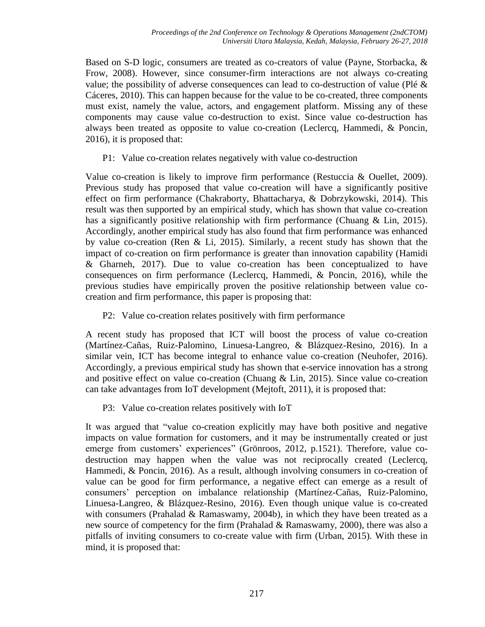Based on S-D logic, consumers are treated as co-creators of value (Payne, Storbacka, & Frow, 2008). However, since consumer-firm interactions are not always co-creating value; the possibility of adverse consequences can lead to co-destruction of value (Plé & Cáceres, 2010). This can happen because for the value to be co-created, three components must exist, namely the value, actors, and engagement platform. Missing any of these components may cause value co-destruction to exist. Since value co-destruction has always been treated as opposite to value co-creation (Leclercq, Hammedi, & Poncin, 2016), it is proposed that:

P1: Value co-creation relates negatively with value co-destruction

Value co-creation is likely to improve firm performance (Restuccia & Ouellet, 2009). Previous study has proposed that value co-creation will have a significantly positive effect on firm performance (Chakraborty, Bhattacharya, & Dobrzykowski, 2014). This result was then supported by an empirical study, which has shown that value co-creation has a significantly positive relationship with firm performance (Chuang & Lin, 2015). Accordingly, another empirical study has also found that firm performance was enhanced by value co-creation (Ren & Li, 2015). Similarly, a recent study has shown that the impact of co-creation on firm performance is greater than innovation capability (Hamidi & Gharneh, 2017). Due to value co-creation has been conceptualized to have consequences on firm performance (Leclercq, Hammedi, & Poncin, 2016), while the previous studies have empirically proven the positive relationship between value cocreation and firm performance, this paper is proposing that:

P2: Value co-creation relates positively with firm performance

A recent study has proposed that ICT will boost the process of value co-creation (Martínez-Cañas, Ruiz-Palomino, Linuesa-Langreo, & Blázquez-Resino, 2016). In a similar vein, ICT has become integral to enhance value co-creation (Neuhofer, 2016). Accordingly, a previous empirical study has shown that e-service innovation has a strong and positive effect on value co-creation (Chuang & Lin, 2015). Since value co-creation can take advantages from IoT development (Mejtoft, 2011), it is proposed that:

P3: Value co-creation relates positively with IoT

It was argued that "value co-creation explicitly may have both positive and negative impacts on value formation for customers, and it may be instrumentally created or just emerge from customers' experiences" (Grönroos, 2012, p.1521). Therefore, value codestruction may happen when the value was not reciprocally created (Leclercq, Hammedi, & Poncin, 2016). As a result, although involving consumers in co-creation of value can be good for firm performance, a negative effect can emerge as a result of consumers' perception on imbalance relationship (Martínez-Cañas, Ruiz-Palomino, Linuesa-Langreo, & Blázquez-Resino, 2016). Even though unique value is co-created with consumers (Prahalad  $&$  Ramaswamy, 2004b), in which they have been treated as a new source of competency for the firm (Prahalad & Ramaswamy, 2000), there was also a pitfalls of inviting consumers to co-create value with firm (Urban, 2015). With these in mind, it is proposed that: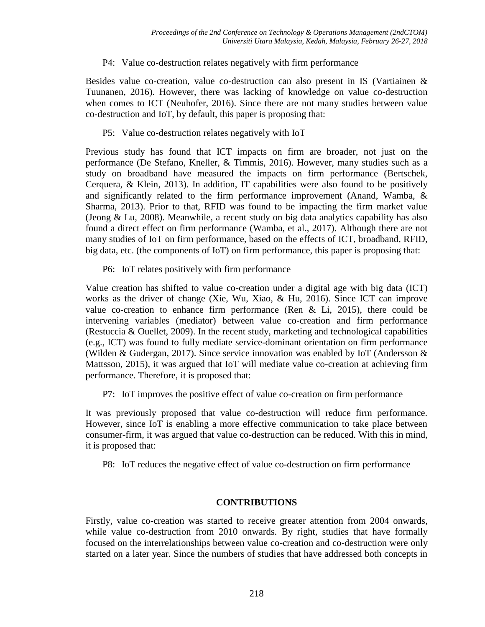# P4: Value co-destruction relates negatively with firm performance

Besides value co-creation, value co-destruction can also present in IS (Vartiainen & Tuunanen, 2016). However, there was lacking of knowledge on value co-destruction when comes to ICT (Neuhofer, 2016). Since there are not many studies between value co-destruction and IoT, by default, this paper is proposing that:

# P5: Value co-destruction relates negatively with IoT

Previous study has found that ICT impacts on firm are broader, not just on the performance (De Stefano, Kneller, & Timmis, 2016). However, many studies such as a study on broadband have measured the impacts on firm performance (Bertschek, Cerquera, & Klein, 2013). In addition, IT capabilities were also found to be positively and significantly related to the firm performance improvement (Anand, Wamba, & Sharma, 2013). Prior to that, RFID was found to be impacting the firm market value (Jeong  $& Lu, 2008$ ). Meanwhile, a recent study on big data analytics capability has also found a direct effect on firm performance (Wamba, et al., 2017). Although there are not many studies of IoT on firm performance, based on the effects of ICT, broadband, RFID, big data, etc. (the components of IoT) on firm performance, this paper is proposing that:

P6: IoT relates positively with firm performance

Value creation has shifted to value co-creation under a digital age with big data (ICT) works as the driver of change (Xie, Wu, Xiao, & Hu, 2016). Since ICT can improve value co-creation to enhance firm performance (Ren  $&$  Li, 2015), there could be intervening variables (mediator) between value co-creation and firm performance (Restuccia & Ouellet, 2009). In the recent study, marketing and technological capabilities (e.g., ICT) was found to fully mediate service-dominant orientation on firm performance (Wilden & Gudergan, 2017). Since service innovation was enabled by IoT (Andersson & Mattsson, 2015), it was argued that IoT will mediate value co-creation at achieving firm performance. Therefore, it is proposed that:

P7: IoT improves the positive effect of value co-creation on firm performance

It was previously proposed that value co-destruction will reduce firm performance. However, since IoT is enabling a more effective communication to take place between consumer-firm, it was argued that value co-destruction can be reduced. With this in mind, it is proposed that:

P8: IoT reduces the negative effect of value co-destruction on firm performance

### **CONTRIBUTIONS**

Firstly, value co-creation was started to receive greater attention from 2004 onwards, while value co-destruction from 2010 onwards. By right, studies that have formally focused on the interrelationships between value co-creation and co-destruction were only started on a later year. Since the numbers of studies that have addressed both concepts in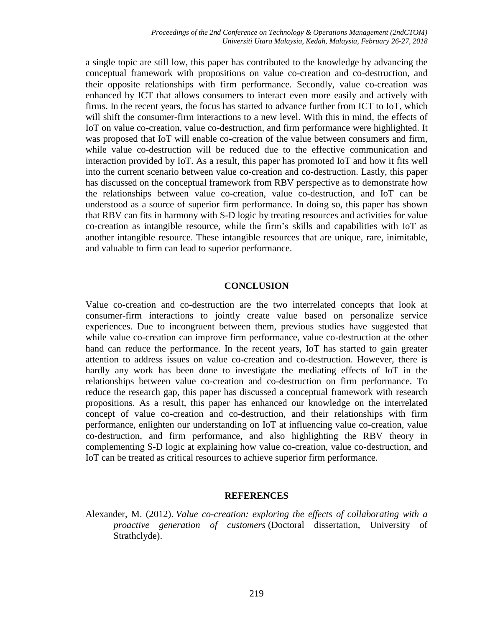a single topic are still low, this paper has contributed to the knowledge by advancing the conceptual framework with propositions on value co-creation and co-destruction, and their opposite relationships with firm performance. Secondly, value co-creation was enhanced by ICT that allows consumers to interact even more easily and actively with firms. In the recent years, the focus has started to advance further from ICT to IoT, which will shift the consumer-firm interactions to a new level. With this in mind, the effects of IoT on value co-creation, value co-destruction, and firm performance were highlighted. It was proposed that IoT will enable co-creation of the value between consumers and firm, while value co-destruction will be reduced due to the effective communication and interaction provided by IoT. As a result, this paper has promoted IoT and how it fits well into the current scenario between value co-creation and co-destruction. Lastly, this paper has discussed on the conceptual framework from RBV perspective as to demonstrate how the relationships between value co-creation, value co-destruction, and IoT can be understood as a source of superior firm performance. In doing so, this paper has shown that RBV can fits in harmony with S-D logic by treating resources and activities for value co-creation as intangible resource, while the firm's skills and capabilities with IoT as another intangible resource. These intangible resources that are unique, rare, inimitable, and valuable to firm can lead to superior performance.

# **CONCLUSION**

Value co-creation and co-destruction are the two interrelated concepts that look at consumer-firm interactions to jointly create value based on personalize service experiences. Due to incongruent between them, previous studies have suggested that while value co-creation can improve firm performance, value co-destruction at the other hand can reduce the performance. In the recent years, IoT has started to gain greater attention to address issues on value co-creation and co-destruction. However, there is hardly any work has been done to investigate the mediating effects of IoT in the relationships between value co-creation and co-destruction on firm performance. To reduce the research gap, this paper has discussed a conceptual framework with research propositions. As a result, this paper has enhanced our knowledge on the interrelated concept of value co-creation and co-destruction, and their relationships with firm performance, enlighten our understanding on IoT at influencing value co-creation, value co-destruction, and firm performance, and also highlighting the RBV theory in complementing S-D logic at explaining how value co-creation, value co-destruction, and IoT can be treated as critical resources to achieve superior firm performance.

### **REFERENCES**

Alexander, M. (2012). *Value co-creation: exploring the effects of collaborating with a proactive generation of customers* (Doctoral dissertation, University of Strathclyde).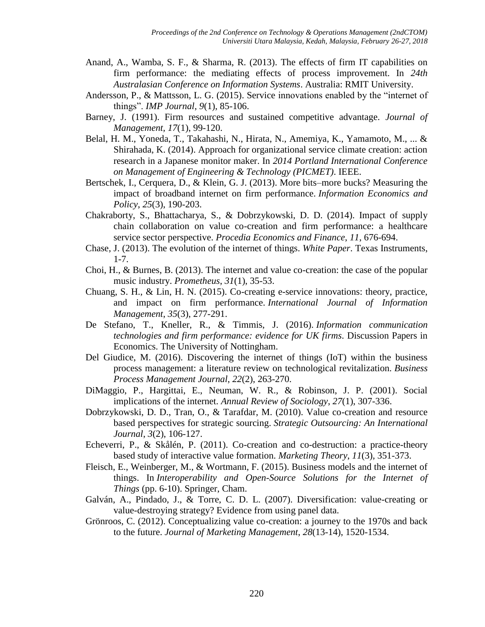- Anand, A., Wamba, S. F., & Sharma, R. (2013). The effects of firm IT capabilities on firm performance: the mediating effects of process improvement. In *24th Australasian Conference on Information Systems*. Australia: RMIT University.
- Andersson, P., & Mattsson, L. G. (2015). Service innovations enabled by the "internet of things". *IMP Journal*, *9*(1), 85-106.
- Barney, J. (1991). Firm resources and sustained competitive advantage. *Journal of Management, 17*(1), 99-120.
- Belal, H. M., Yoneda, T., Takahashi, N., Hirata, N., Amemiya, K., Yamamoto, M., ... & Shirahada, K. (2014). Approach for organizational service climate creation: action research in a Japanese monitor maker. In *2014 Portland International Conference on Management of Engineering & Technology (PICMET)*. IEEE.
- Bertschek, I., Cerquera, D., & Klein, G. J. (2013). More bits–more bucks? Measuring the impact of broadband internet on firm performance. *Information Economics and Policy*, *25*(3), 190-203.
- Chakraborty, S., Bhattacharya, S., & Dobrzykowski, D. D. (2014). Impact of supply chain collaboration on value co-creation and firm performance: a healthcare service sector perspective. *Procedia Economics and Finance*, *11*, 676-694.
- Chase, J. (2013). The evolution of the internet of things. *White Paper*. Texas Instruments, 1-7.
- Choi, H., & Burnes, B. (2013). The internet and value co-creation: the case of the popular music industry. *Prometheus*, *31*(1), 35-53.
- Chuang, S. H., & Lin, H. N. (2015). Co-creating e-service innovations: theory, practice, and impact on firm performance. *International Journal of Information Management*, *35*(3), 277-291.
- De Stefano, T., Kneller, R., & Timmis, J. (2016). *Information communication technologies and firm performance: evidence for UK firms*. Discussion Papers in Economics. The University of Nottingham.
- Del Giudice, M. (2016). Discovering the internet of things (IoT) within the business process management: a literature review on technological revitalization. *Business Process Management Journal*, *22*(2), 263-270.
- DiMaggio, P., Hargittai, E., Neuman, W. R., & Robinson, J. P. (2001). Social implications of the internet. *Annual Review of Sociology*, *27*(1), 307-336.
- Dobrzykowski, D. D., Tran, O., & Tarafdar, M. (2010). Value co-creation and resource based perspectives for strategic sourcing. *Strategic Outsourcing: An International Journal*, *3*(2), 106-127.
- Echeverri, P., & Skålén, P. (2011). Co-creation and co-destruction: a practice-theory based study of interactive value formation. *Marketing Theory*, *11*(3), 351-373.
- Fleisch, E., Weinberger, M., & Wortmann, F. (2015). Business models and the internet of things. In *Interoperability and Open-Source Solutions for the Internet of Things* (pp. 6-10). Springer, Cham.
- Galván, A., Pindado, J., & Torre, C. D. L. (2007). Diversification: value-creating or value-destroying strategy? Evidence from using panel data.
- Grönroos, C. (2012). Conceptualizing value co-creation: a journey to the 1970s and back to the future. *Journal of Marketing Management*, *28*(13-14), 1520-1534.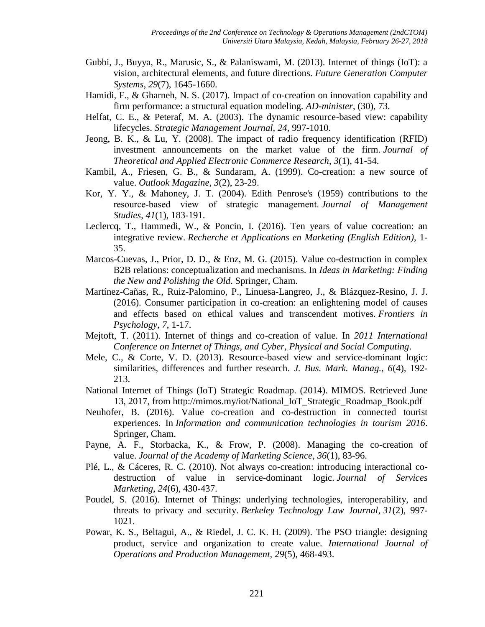- Gubbi, J., Buyya, R., Marusic, S., & Palaniswami, M. (2013). Internet of things (IoT): a vision, architectural elements, and future directions. *Future Generation Computer Systems*, *29*(7), 1645-1660.
- Hamidi, F., & Gharneh, N. S. (2017). Impact of co-creation on innovation capability and firm performance: a structural equation modeling. *AD-minister*, (30), 73.
- Helfat, C. E., & Peteraf, M. A. (2003). The dynamic resource-based view: capability lifecycles. *Strategic Management Journal, 24*, 997-1010.
- Jeong, B. K., & Lu, Y. (2008). The impact of radio frequency identification (RFID) investment announcements on the market value of the firm. *Journal of Theoretical and Applied Electronic Commerce Research*, *3*(1), 41-54.
- Kambil, A., Friesen, G. B., & Sundaram, A. (1999). Co-creation: a new source of value. *Outlook Magazine*, *3*(2), 23-29.
- Kor, Y. Y., & Mahoney, J. T. (2004). Edith Penrose's (1959) contributions to the resource‐based view of strategic management. *Journal of Management Studies*, *41*(1), 183-191.
- Leclercq, T., Hammedi, W., & Poncin, I. (2016). Ten years of value cocreation: an integrative review. *Recherche et Applications en Marketing (English Edition)*, 1- 35.
- Marcos-Cuevas, J., Prior, D. D., & Enz, M. G. (2015). Value co-destruction in complex B2B relations: conceptualization and mechanisms. In *Ideas in Marketing: Finding the New and Polishing the Old*. Springer, Cham.
- Martínez-Cañas, R., Ruiz-Palomino, P., Linuesa-Langreo, J., & Blázquez-Resino, J. J. (2016). Consumer participation in co-creation: an enlightening model of causes and effects based on ethical values and transcendent motives. *Frontiers in Psychology*, *7*, 1-17.
- Mejtoft, T. (2011). Internet of things and co-creation of value. In *2011 International Conference on Internet of Things, and Cyber, Physical and Social Computing*.
- Mele, C., & Corte, V. D. (2013). Resource-based view and service-dominant logic: similarities, differences and further research. *J. Bus. Mark. Manag., 6*(4), 192- 213.
- National Internet of Things (IoT) Strategic Roadmap. (2014). MIMOS. Retrieved June 13, 2017, from http://mimos.my/iot/National\_IoT\_Strategic\_Roadmap\_Book.pdf
- Neuhofer, B. (2016). Value co-creation and co-destruction in connected tourist experiences. In *Information and communication technologies in tourism 2016*. Springer, Cham.
- Payne, A. F., Storbacka, K., & Frow, P. (2008). Managing the co-creation of value. *Journal of the Academy of Marketing Science*, *36*(1), 83-96.
- Plé, L., & Cáceres, R. C. (2010). Not always co-creation: introducing interactional codestruction of value in service-dominant logic. *Journal of Services Marketing*, *24*(6), 430-437.
- Poudel, S. (2016). Internet of Things: underlying technologies, interoperability, and threats to privacy and security. *Berkeley Technology Law Journal*, *31*(2), 997- 1021.
- Powar, K. S., Beltagui, A., & Riedel, J. C. K. H. (2009). The PSO triangle: designing product, service and organization to create value. *International Journal of Operations and Production Management, 29*(5), 468-493.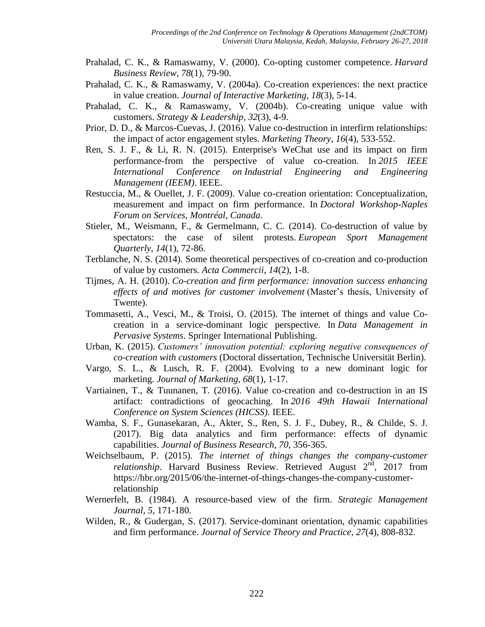- Prahalad, C. K., & Ramaswamy, V. (2000). Co-opting customer competence. *Harvard Business Review*, *78*(1), 79-90.
- Prahalad, C. K., & Ramaswamy, V. (2004a). Co-creation experiences: the next practice in value creation. *Journal of Interactive Marketing*, *18*(3), 5-14.
- Prahalad, C. K., & Ramaswamy, V. (2004b). Co-creating unique value with customers. *Strategy & Leadership*, *32*(3), 4-9.
- Prior, D. D., & Marcos-Cuevas, J. (2016). Value co-destruction in interfirm relationships: the impact of actor engagement styles. *Marketing Theory*, *16*(4), 533-552.
- Ren, S. J. F., & Li, R. N. (2015). Enterprise's WeChat use and its impact on firm performance-from the perspective of value co-creation. In *2015 IEEE International Conference on Industrial Engineering and Engineering Management (IEEM)*. IEEE.
- Restuccia, M., & Ouellet, J. F. (2009). Value co-creation orientation: Conceptualization, measurement and impact on firm performance. In *Doctoral Workshop-Naples Forum on Services, Montréal, Canada*.
- Stieler, M., Weismann, F., & Germelmann, C. C. (2014). Co-destruction of value by spectators: the case of silent protests. *European Sport Management Quarterly*, *14*(1), 72-86.
- Terblanche, N. S. (2014). Some theoretical perspectives of co-creation and co-production of value by customers. *Acta Commercii*, *14*(2), 1-8.
- Tijmes, A. H. (2010). *Co-creation and firm performance: innovation success enhancing effects of and motives for customer involvement* (Master's thesis, University of Twente).
- Tommasetti, A., Vesci, M., & Troisi, O. (2015). The internet of things and value Cocreation in a service-dominant logic perspective. In *Data Management in Pervasive Systems*. Springer International Publishing.
- Urban, K. (2015). *Customers' innovation potential: exploring negative consequences of co-creation with customers* (Doctoral dissertation, Technische Universität Berlin).
- Vargo, S. L., & Lusch, R. F. (2004). Evolving to a new dominant logic for marketing. *Journal of Marketing*, *68*(1), 1-17.
- Vartiainen, T., & Tuunanen, T. (2016). Value co-creation and co-destruction in an IS artifact: contradictions of geocaching. In *2016 49th Hawaii International Conference on System Sciences (HICSS)*. IEEE.
- Wamba, S. F., Gunasekaran, A., Akter, S., Ren, S. J. F., Dubey, R., & Childe, S. J. (2017). Big data analytics and firm performance: effects of dynamic capabilities. *Journal of Business Research*, *70*, 356-365.
- Weichselbaum, P. (2015). *The internet of things changes the company-customer relationship*. Harvard Business Review. Retrieved August  $2^{nd}$ , 2017 from https://hbr.org/2015/06/the-internet-of-things-changes-the-company-customerrelationship
- Wernerfelt, B. (1984). A resource-based view of the firm. *Strategic Management Journal, 5*, 171-180.
- Wilden, R., & Gudergan, S. (2017). Service-dominant orientation, dynamic capabilities and firm performance. *Journal of Service Theory and Practice*, *27*(4), 808-832.